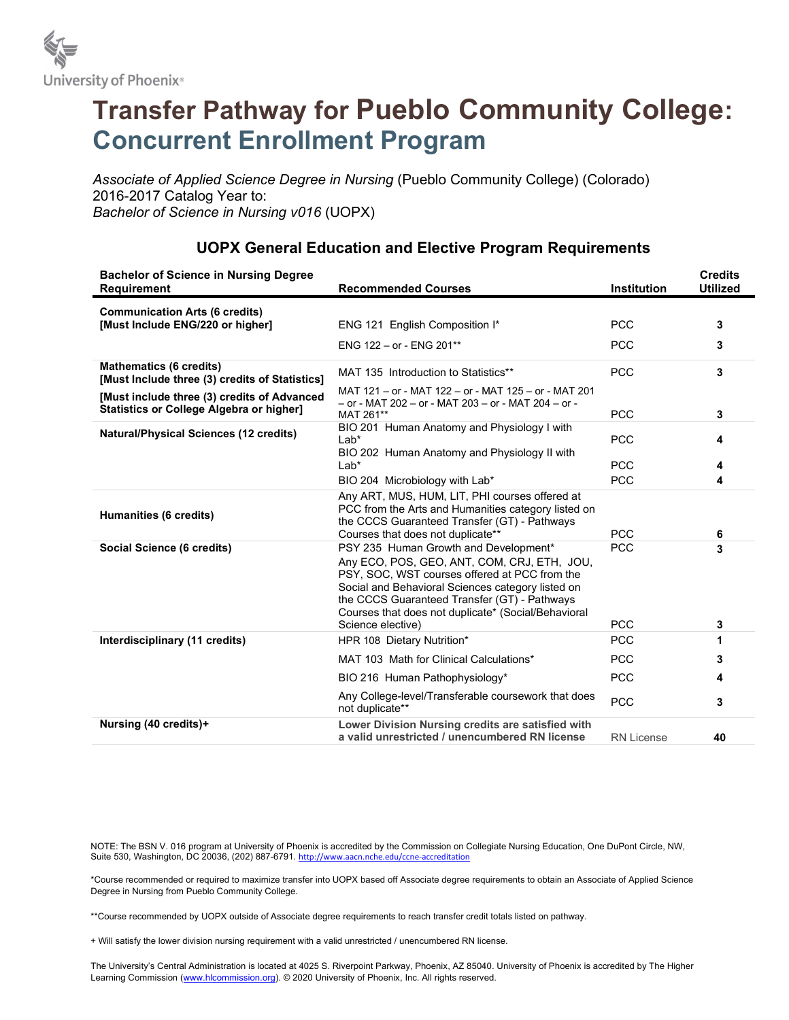

## Transfer Pathway for Pueblo Community College: Concurrent Enrollment Program

Associate of Applied Science Degree in Nursing (Pueblo Community College) (Colorado) 2016-2017 Catalog Year to: Bachelor of Science in Nursing v016 (UOPX)

| <b>Bachelor of Science in Nursing Degree</b><br>Requirement                                    | <b>Recommended Courses</b>                                                                                                                                                                                                                                                                                             | <b>Institution</b>       | <b>Credits</b><br><b>Utilized</b> |
|------------------------------------------------------------------------------------------------|------------------------------------------------------------------------------------------------------------------------------------------------------------------------------------------------------------------------------------------------------------------------------------------------------------------------|--------------------------|-----------------------------------|
| <b>Communication Arts (6 credits)</b>                                                          |                                                                                                                                                                                                                                                                                                                        |                          |                                   |
| [Must Include ENG/220 or higher]                                                               | ENG 121 English Composition I*                                                                                                                                                                                                                                                                                         | <b>PCC</b>               | 3                                 |
|                                                                                                | ENG 122 - or - ENG 201**                                                                                                                                                                                                                                                                                               | <b>PCC</b>               | 3                                 |
| <b>Mathematics (6 credits)</b><br>[Must Include three (3) credits of Statistics]               | MAT 135 Introduction to Statistics**                                                                                                                                                                                                                                                                                   | <b>PCC</b>               | 3                                 |
| [Must include three (3) credits of Advanced<br><b>Statistics or College Algebra or higher]</b> | MAT 121 - or - MAT 122 - or - MAT 125 - or - MAT 201<br>- or - MAT 202 - or - MAT 203 - or - MAT 204 - or -<br>MAT 261**                                                                                                                                                                                               | <b>PCC</b>               | 3                                 |
| <b>Natural/Physical Sciences (12 credits)</b>                                                  | BIO 201 Human Anatomy and Physiology I with<br>$Lab*$                                                                                                                                                                                                                                                                  | <b>PCC</b>               | 4                                 |
|                                                                                                | BIO 202 Human Anatomy and Physiology II with<br>$Lab*$                                                                                                                                                                                                                                                                 | <b>PCC</b>               | 4                                 |
|                                                                                                | BIO 204 Microbiology with Lab*                                                                                                                                                                                                                                                                                         | <b>PCC</b>               | 4                                 |
| Humanities (6 credits)                                                                         | Any ART, MUS, HUM, LIT, PHI courses offered at<br>PCC from the Arts and Humanities category listed on<br>the CCCS Guaranteed Transfer (GT) - Pathways<br>Courses that does not duplicate**                                                                                                                             | <b>PCC</b>               | 6                                 |
| Social Science (6 credits)                                                                     | PSY 235 Human Growth and Development*<br>Any ECO, POS, GEO, ANT, COM, CRJ, ETH, JOU,<br>PSY, SOC, WST courses offered at PCC from the<br>Social and Behavioral Sciences category listed on<br>the CCCS Guaranteed Transfer (GT) - Pathways<br>Courses that does not duplicate* (Social/Behavioral<br>Science elective) | <b>PCC</b><br><b>PCC</b> | 3<br>3                            |
| Interdisciplinary (11 credits)                                                                 | HPR 108 Dietary Nutrition*                                                                                                                                                                                                                                                                                             | <b>PCC</b>               | 1                                 |
|                                                                                                | MAT 103 Math for Clinical Calculations*                                                                                                                                                                                                                                                                                | <b>PCC</b>               | 3                                 |
|                                                                                                | BIO 216 Human Pathophysiology*                                                                                                                                                                                                                                                                                         | <b>PCC</b>               | 4                                 |
|                                                                                                | Any College-level/Transferable coursework that does<br>not duplicate**                                                                                                                                                                                                                                                 | <b>PCC</b>               | 3                                 |
| Nursing (40 credits)+                                                                          | Lower Division Nursing credits are satisfied with<br>a valid unrestricted / unencumbered RN license                                                                                                                                                                                                                    | <b>RN License</b>        | 40                                |

## UOPX General Education and Elective Program Requirements

NOTE: The BSN V. 016 program at University of Phoenix is accredited by the Commission on Collegiate Nursing Education, One DuPont Circle, NW, Suite 530, Washington, DC 20036, (202) 887-6791. http://www.aacn.nche.edu/ccne-accreditation

\*Course recommended or required to maximize transfer into UOPX based off Associate degree requirements to obtain an Associate of Applied Science Degree in Nursing from Pueblo Community College.

\*\*Course recommended by UOPX outside of Associate degree requirements to reach transfer credit totals listed on pathway.

+ Will satisfy the lower division nursing requirement with a valid unrestricted / unencumbered RN license.

The University's Central Administration is located at 4025 S. Riverpoint Parkway, Phoenix, AZ 85040. University of Phoenix is accredited by The Higher Learning Commission (www.hlcommission.org). © 2020 University of Phoenix, Inc. All rights reserved.